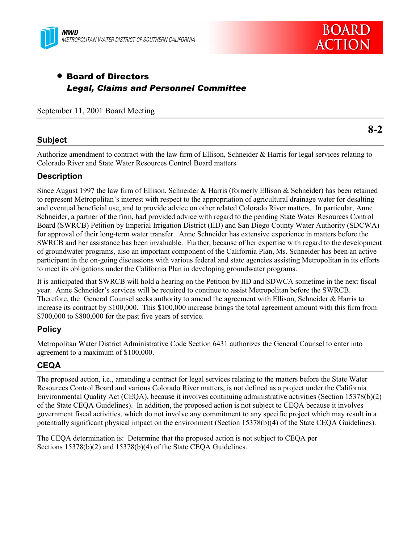



# • Board of Directors *Legal, Claims and Personnel Committee*

September 11, 2001 Board Meeting

## **Subject**

**8-2**

Authorize amendment to contract with the law firm of Ellison, Schneider & Harris for legal services relating to Colorado River and State Water Resources Control Board matters

## **Description**

Since August 1997 the law firm of Ellison, Schneider & Harris (formerly Ellison & Schneider) has been retained to represent Metropolitanís interest with respect to the appropriation of agricultural drainage water for desalting and eventual beneficial use, and to provide advice on other related Colorado River matters. In particular, Anne Schneider, a partner of the firm, had provided advice with regard to the pending State Water Resources Control Board (SWRCB) Petition by Imperial Irrigation District (IID) and San Diego County Water Authority (SDCWA) for approval of their long-term water transfer. Anne Schneider has extensive experience in matters before the SWRCB and her assistance has been invaluable. Further, because of her expertise with regard to the development of groundwater programs, also an important component of the California Plan, Ms. Schneider has been an active participant in the on-going discussions with various federal and state agencies assisting Metropolitan in its efforts to meet its obligations under the California Plan in developing groundwater programs.

It is anticipated that SWRCB will hold a hearing on the Petition by IID and SDWCA sometime in the next fiscal year. Anne Schneider's services will be required to continue to assist Metropolitan before the SWRCB. Therefore, the General Counsel seeks authority to amend the agreement with Ellison, Schneider & Harris to increase its contract by \$100,000. This \$100,000 increase brings the total agreement amount with this firm from \$700,000 to \$800,000 for the past five years of service.

## **Policy**

Metropolitan Water District Administrative Code Section 6431 authorizes the General Counsel to enter into agreement to a maximum of \$100,000.

## **CEQA**

The proposed action, i.e., amending a contract for legal services relating to the matters before the State Water Resources Control Board and various Colorado River matters, is not defined as a project under the California Environmental Quality Act (CEQA), because it involves continuing administrative activities (Section 15378(b)(2) of the State CEQA Guidelines). In addition, the proposed action is not subject to CEQA because it involves government fiscal activities, which do not involve any commitment to any specific project which may result in a potentially significant physical impact on the environment (Section 15378(b)(4) of the State CEQA Guidelines).

The CEQA determination is: Determine that the proposed action is not subject to CEQA per Sections 15378(b)(2) and 15378(b)(4) of the State CEQA Guidelines.